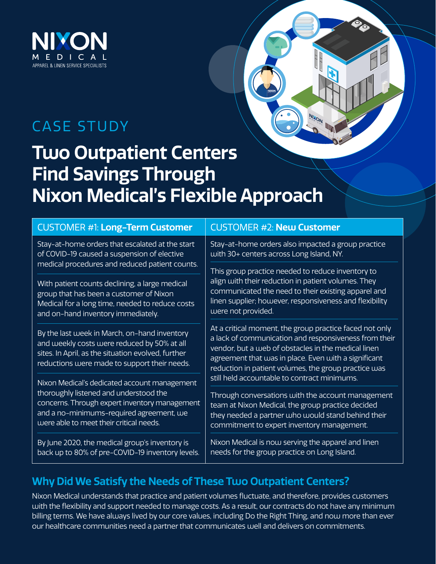

## CASE STUDY

## **Two Outpatient Centers Find Savings Through Nixon Medical's Flexible Approach**

| <b>CUSTOMER #1: Long-Term Customer</b>                                                                                                                                                                                         | <b>CUSTOMER #2: New Customer</b>                                                                                                                                                                                                                                                                                                                   |
|--------------------------------------------------------------------------------------------------------------------------------------------------------------------------------------------------------------------------------|----------------------------------------------------------------------------------------------------------------------------------------------------------------------------------------------------------------------------------------------------------------------------------------------------------------------------------------------------|
| Stay-at-home orders that escalated at the start<br>of COVID-19 caused a suspension of elective<br>medical procedures and reduced patient counts.                                                                               | Stay-at-home orders also impacted a group practice<br>with 30+ centers across Long Island, NY.<br>This group practice needed to reduce inventory to<br>align with their reduction in patient volumes. They<br>communicated the need to their existing apparel and<br>linen supplier; however, responsiveness and flexibility<br>were not provided. |
| With patient counts declining, a large medical<br>group that has been a customer of Nixon<br>Medical for a long time, needed to reduce costs<br>and on-hand inventory immediately.                                             |                                                                                                                                                                                                                                                                                                                                                    |
| By the last week in March, on-hand inventory<br>and weekly costs were reduced by 50% at all<br>sites. In April, as the situation evolved, further<br>reductions were made to support their needs.                              | At a critical moment, the group practice faced not only<br>a lack of communication and responsiveness from their<br>vendor, but a web of obstacles in the medical linen<br>agreement that was in place. Even with a significant<br>reduction in patient volumes, the group practice was                                                            |
| Nixon Medical's dedicated account management<br>thoroughly listened and understood the<br>concerns. Through expert inventory management<br>and a no-minimums-required agreement, we<br>were able to meet their critical needs. | still held accountable to contract minimums.<br>Through conversations with the account management<br>team at Nixon Medical, the group practice decided<br>they needed a partner who would stand behind their<br>commitment to expert inventory management.                                                                                         |
| By June 2020, the medical group's inventory is<br>back up to 80% of pre-COVID-19 inventory levels.                                                                                                                             | Nixon Medical is now serving the apparel and linen<br>needs for the group practice on Long Island.                                                                                                                                                                                                                                                 |

### **Why Did We Satisfy the Needs of These Two Outpatient Centers?**

Nixon Medical understands that practice and patient volumes fluctuate, and therefore, provides customers with the flexibility and support needed to manage costs. As a result, our contracts do not have any minimum billing terms. We have always lived by our core values, including Do the Right Thing, and now more than ever our healthcare communities need a partner that communicates well and delivers on commitments.